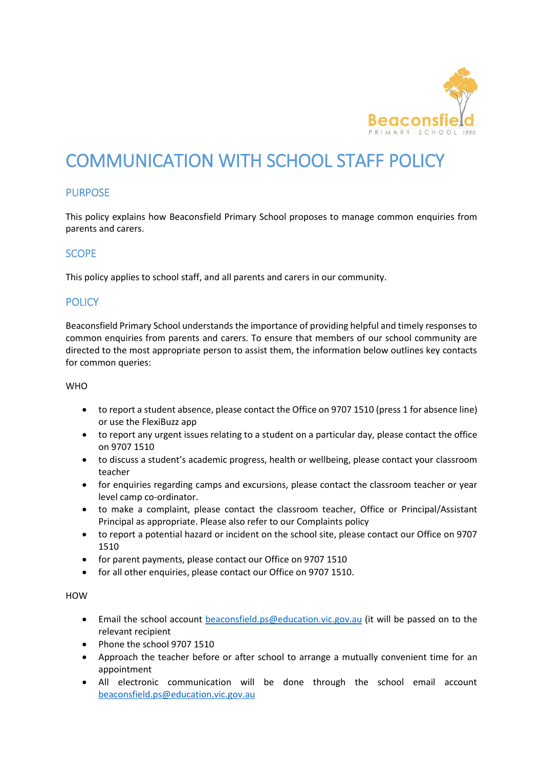

# COMMUNICATION WITH SCHOOL STAFF POLICY

# **PURPOSE**

This policy explains how Beaconsfield Primary School proposes to manage common enquiries from parents and carers.

### **SCOPE**

This policy applies to school staff, and all parents and carers in our community.

# **POLICY**

Beaconsfield Primary School understands the importance of providing helpful and timely responses to common enquiries from parents and carers. To ensure that members of our school community are directed to the most appropriate person to assist them, the information below outlines key contacts for common queries:

#### WHO

- to report a student absence, please contact the Office on 9707 1510 (press 1 for absence line) or use the FlexiBuzz app
- to report any urgent issues relating to a student on a particular day, please contact the office on 9707 1510
- to discuss a student's academic progress, health or wellbeing, please contact your classroom teacher
- for enquiries regarding camps and excursions, please contact the classroom teacher or year level camp co-ordinator.
- to make a complaint, please contact the classroom teacher, Office or Principal/Assistant Principal as appropriate. Please also refer to our Complaints policy
- to report a potential hazard or incident on the school site, please contact our Office on 9707 1510
- for parent payments, please contact our Office on 9707 1510
- for all other enquiries, please contact our Office on 9707 1510.

HOW

- Email the school account [beaconsfield.ps@education.vic.gov.au](mailto:beaconsfield.ps@education.vic.gov.au) (it will be passed on to the relevant recipient
- Phone the school 9707 1510
- Approach the teacher before or after school to arrange a mutually convenient time for an appointment
- All electronic communication will be done through the school email account [beaconsfield.ps@education.vic.gov.au](mailto:beaconsfield.ps@education.vic.gov.au)